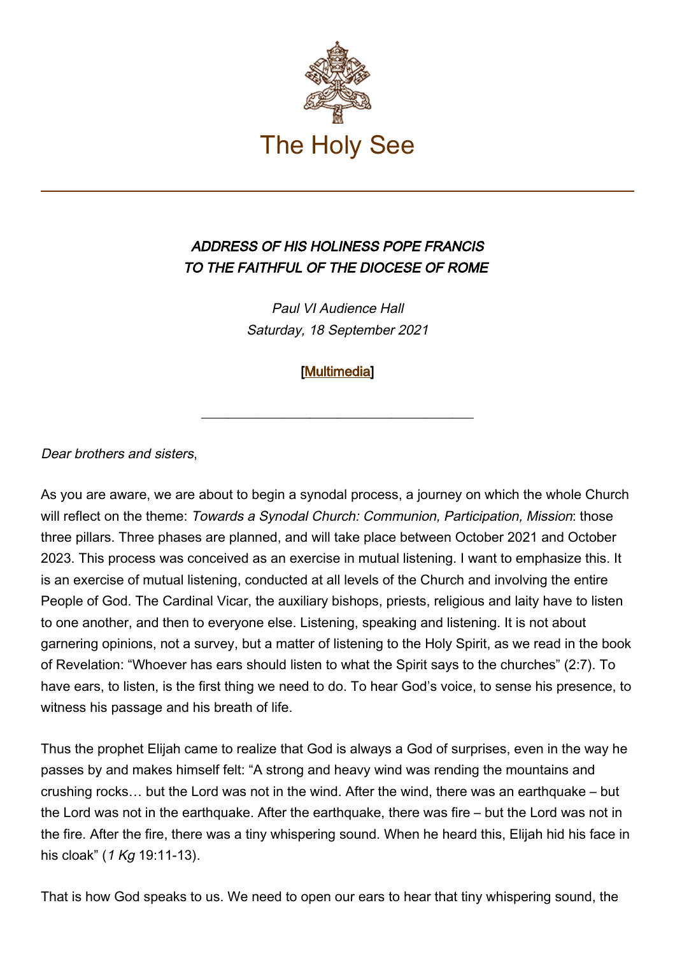

## ADDRESS OF HIS HOLINESS POPE FRANCIS TO THE FAITHFUL OF THE DIOCESE OF ROME

Paul VI Audience Hall Saturday, 18 September 2021

## [\[Multimedia](http://w2.vatican.va/content/francesco/en/events/event.dir.html/content/vaticanevents/en/2021/9/18/fedeli-diocesiroma.html)]

\_\_\_\_\_\_\_\_\_\_\_\_\_\_\_\_\_\_\_\_\_\_\_\_\_\_\_\_\_\_\_\_\_\_\_\_\_\_\_\_

Dear brothers and sisters,

As you are aware, we are about to begin a synodal process, a journey on which the whole Church will reflect on the theme: Towards a Synodal Church: Communion, Participation, Mission: those three pillars. Three phases are planned, and will take place between October 2021 and October 2023. This process was conceived as an exercise in mutual listening. I want to emphasize this. It is an exercise of mutual listening, conducted at all levels of the Church and involving the entire People of God. The Cardinal Vicar, the auxiliary bishops, priests, religious and laity have to listen to one another, and then to everyone else. Listening, speaking and listening. It is not about garnering opinions, not a survey, but a matter of listening to the Holy Spirit, as we read in the book of Revelation: "Whoever has ears should listen to what the Spirit says to the churches" (2:7). To have ears, to listen, is the first thing we need to do. To hear God's voice, to sense his presence, to witness his passage and his breath of life.

Thus the prophet Elijah came to realize that God is always a God of surprises, even in the way he passes by and makes himself felt: "A strong and heavy wind was rending the mountains and crushing rocks… but the Lord was not in the wind. After the wind, there was an earthquake – but the Lord was not in the earthquake. After the earthquake, there was fire – but the Lord was not in the fire. After the fire, there was a tiny whispering sound. When he heard this, Elijah hid his face in his cloak" (1 Kg 19:11-13).

That is how God speaks to us. We need to open our ears to hear that tiny whispering sound, the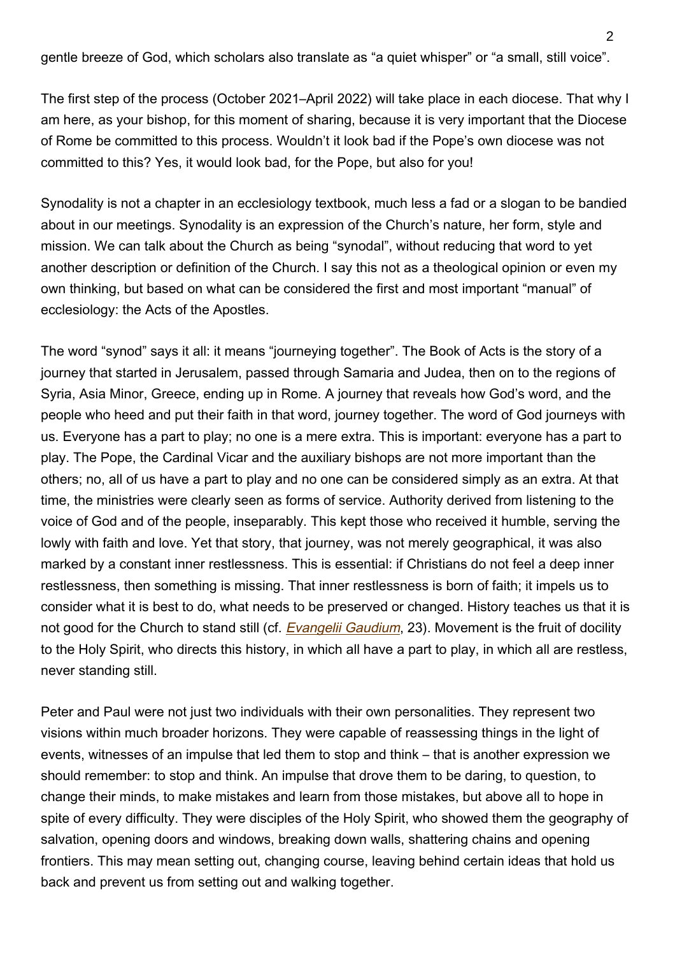gentle breeze of God, which scholars also translate as "a quiet whisper" or "a small, still voice".

The first step of the process (October 2021–April 2022) will take place in each diocese. That why I am here, as your bishop, for this moment of sharing, because it is very important that the Diocese of Rome be committed to this process. Wouldn't it look bad if the Pope's own diocese was not committed to this? Yes, it would look bad, for the Pope, but also for you!

Synodality is not a chapter in an ecclesiology textbook, much less a fad or a slogan to be bandied about in our meetings. Synodality is an expression of the Church's nature, her form, style and mission. We can talk about the Church as being "synodal", without reducing that word to yet another description or definition of the Church. I say this not as a theological opinion or even my own thinking, but based on what can be considered the first and most important "manual" of ecclesiology: the Acts of the Apostles.

The word "synod" says it all: it means "journeying together". The Book of Acts is the story of a journey that started in Jerusalem, passed through Samaria and Judea, then on to the regions of Syria, Asia Minor, Greece, ending up in Rome. A journey that reveals how God's word, and the people who heed and put their faith in that word, journey together. The word of God journeys with us. Everyone has a part to play; no one is a mere extra. This is important: everyone has a part to play. The Pope, the Cardinal Vicar and the auxiliary bishops are not more important than the others; no, all of us have a part to play and no one can be considered simply as an extra. At that time, the ministries were clearly seen as forms of service. Authority derived from listening to the voice of God and of the people, inseparably. This kept those who received it humble, serving the lowly with faith and love. Yet that story, that journey, was not merely geographical, it was also marked by a constant inner restlessness. This is essential: if Christians do not feel a deep inner restlessness, then something is missing. That inner restlessness is born of faith; it impels us to consider what it is best to do, what needs to be preserved or changed. History teaches us that it is not good for the Church to stand still (cf. *[Evangelii Gaudium](https://www.vatican.va/content/francesco/en/apost_exhortations/documents/papa-francesco_esortazione-ap_20131124_evangelii-gaudium.html#I.%E2%80%82A_Church_which_goes_forth)*, 23). Movement is the fruit of docility to the Holy Spirit, who directs this history, in which all have a part to play, in which all are restless, never standing still.

Peter and Paul were not just two individuals with their own personalities. They represent two visions within much broader horizons. They were capable of reassessing things in the light of events, witnesses of an impulse that led them to stop and think – that is another expression we should remember: to stop and think. An impulse that drove them to be daring, to question, to change their minds, to make mistakes and learn from those mistakes, but above all to hope in spite of every difficulty. They were disciples of the Holy Spirit, who showed them the geography of salvation, opening doors and windows, breaking down walls, shattering chains and opening frontiers. This may mean setting out, changing course, leaving behind certain ideas that hold us back and prevent us from setting out and walking together.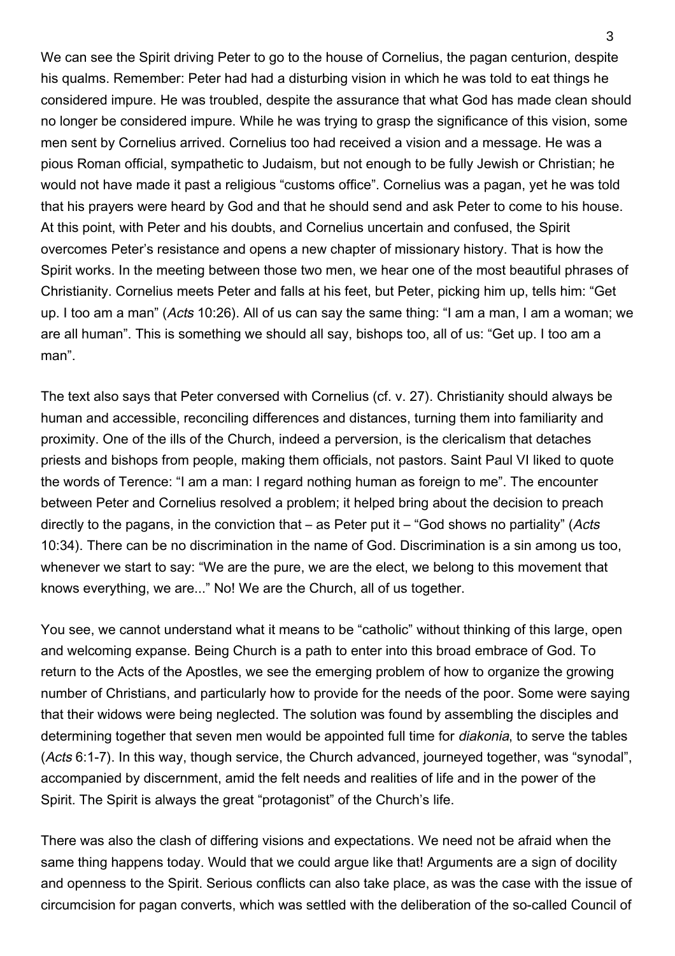We can see the Spirit driving Peter to go to the house of Cornelius, the pagan centurion, despite his qualms. Remember: Peter had had a disturbing vision in which he was told to eat things he considered impure. He was troubled, despite the assurance that what God has made clean should no longer be considered impure. While he was trying to grasp the significance of this vision, some men sent by Cornelius arrived. Cornelius too had received a vision and a message. He was a pious Roman official, sympathetic to Judaism, but not enough to be fully Jewish or Christian; he would not have made it past a religious "customs office". Cornelius was a pagan, yet he was told that his prayers were heard by God and that he should send and ask Peter to come to his house. At this point, with Peter and his doubts, and Cornelius uncertain and confused, the Spirit overcomes Peter's resistance and opens a new chapter of missionary history. That is how the Spirit works. In the meeting between those two men, we hear one of the most beautiful phrases of Christianity. Cornelius meets Peter and falls at his feet, but Peter, picking him up, tells him: "Get up. I too am a man" (Acts 10:26). All of us can say the same thing: "I am a man, I am a woman; we are all human". This is something we should all say, bishops too, all of us: "Get up. I too am a man".

The text also says that Peter conversed with Cornelius (cf. v. 27). Christianity should always be human and accessible, reconciling differences and distances, turning them into familiarity and proximity. One of the ills of the Church, indeed a perversion, is the clericalism that detaches priests and bishops from people, making them officials, not pastors. Saint Paul VI liked to quote the words of Terence: "I am a man: I regard nothing human as foreign to me". The encounter between Peter and Cornelius resolved a problem; it helped bring about the decision to preach directly to the pagans, in the conviction that – as Peter put it – "God shows no partiality" (Acts 10:34). There can be no discrimination in the name of God. Discrimination is a sin among us too, whenever we start to say: "We are the pure, we are the elect, we belong to this movement that knows everything, we are..." No! We are the Church, all of us together.

You see, we cannot understand what it means to be "catholic" without thinking of this large, open and welcoming expanse. Being Church is a path to enter into this broad embrace of God. To return to the Acts of the Apostles, we see the emerging problem of how to organize the growing number of Christians, and particularly how to provide for the needs of the poor. Some were saying that their widows were being neglected. The solution was found by assembling the disciples and determining together that seven men would be appointed full time for *diakonia*, to serve the tables (Acts 6:1-7). In this way, though service, the Church advanced, journeyed together, was "synodal", accompanied by discernment, amid the felt needs and realities of life and in the power of the Spirit. The Spirit is always the great "protagonist" of the Church's life.

There was also the clash of differing visions and expectations. We need not be afraid when the same thing happens today. Would that we could argue like that! Arguments are a sign of docility and openness to the Spirit. Serious conflicts can also take place, as was the case with the issue of circumcision for pagan converts, which was settled with the deliberation of the so-called Council of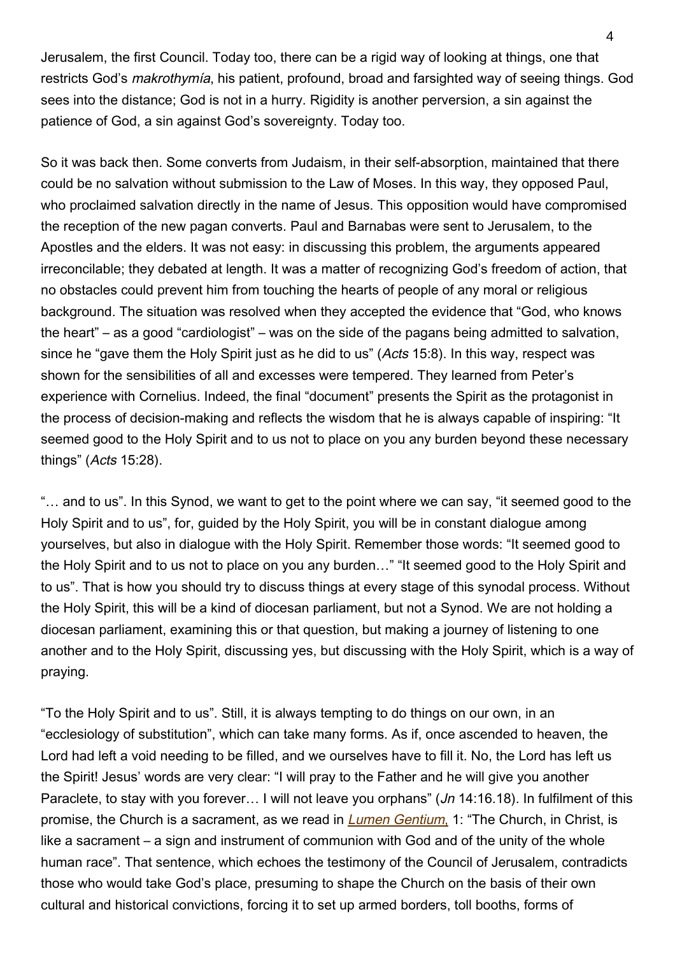Jerusalem, the first Council. Today too, there can be a rigid way of looking at things, one that restricts God's makrothymía, his patient, profound, broad and farsighted way of seeing things. God sees into the distance; God is not in a hurry. Rigidity is another perversion, a sin against the patience of God, a sin against God's sovereignty. Today too.

So it was back then. Some converts from Judaism, in their self-absorption, maintained that there could be no salvation without submission to the Law of Moses. In this way, they opposed Paul, who proclaimed salvation directly in the name of Jesus. This opposition would have compromised the reception of the new pagan converts. Paul and Barnabas were sent to Jerusalem, to the Apostles and the elders. It was not easy: in discussing this problem, the arguments appeared irreconcilable; they debated at length. It was a matter of recognizing God's freedom of action, that no obstacles could prevent him from touching the hearts of people of any moral or religious background. The situation was resolved when they accepted the evidence that "God, who knows the heart" – as a good "cardiologist" – was on the side of the pagans being admitted to salvation, since he "gave them the Holy Spirit just as he did to us" (Acts 15:8). In this way, respect was shown for the sensibilities of all and excesses were tempered. They learned from Peter's experience with Cornelius. Indeed, the final "document" presents the Spirit as the protagonist in the process of decision-making and reflects the wisdom that he is always capable of inspiring: "It seemed good to the Holy Spirit and to us not to place on you any burden beyond these necessary things" (Acts 15:28).

"… and to us". In this Synod, we want to get to the point where we can say, "it seemed good to the Holy Spirit and to us", for, guided by the Holy Spirit, you will be in constant dialogue among yourselves, but also in dialogue with the Holy Spirit. Remember those words: "It seemed good to the Holy Spirit and to us not to place on you any burden…" "It seemed good to the Holy Spirit and to us". That is how you should try to discuss things at every stage of this synodal process. Without the Holy Spirit, this will be a kind of diocesan parliament, but not a Synod. We are not holding a diocesan parliament, examining this or that question, but making a journey of listening to one another and to the Holy Spirit, discussing yes, but discussing with the Holy Spirit, which is a way of praying.

"To the Holy Spirit and to us". Still, it is always tempting to do things on our own, in an "ecclesiology of substitution", which can take many forms. As if, once ascended to heaven, the Lord had left a void needing to be filled, and we ourselves have to fill it. No, the Lord has left us the Spirit! Jesus' words are very clear: "I will pray to the Father and he will give you another Paraclete, to stay with you forever... I will not leave you orphans" (*Jn* 14:16.18). In fulfilment of this promise[,](https://www.vatican.va/archive/hist_councils/ii_vatican_council/documents/vat-ii_const_19641121_lumen-gentium_en.html) the Church is a sacrament, as we read in *Lumen Gentium*, 1: "The Church, in Christ, is like a sacrament – a sign and instrument of communion with God and of the unity of the whole human race". That sentence, which echoes the testimony of the Council of Jerusalem, contradicts those who would take God's place, presuming to shape the Church on the basis of their own cultural and historical convictions, forcing it to set up armed borders, toll booths, forms of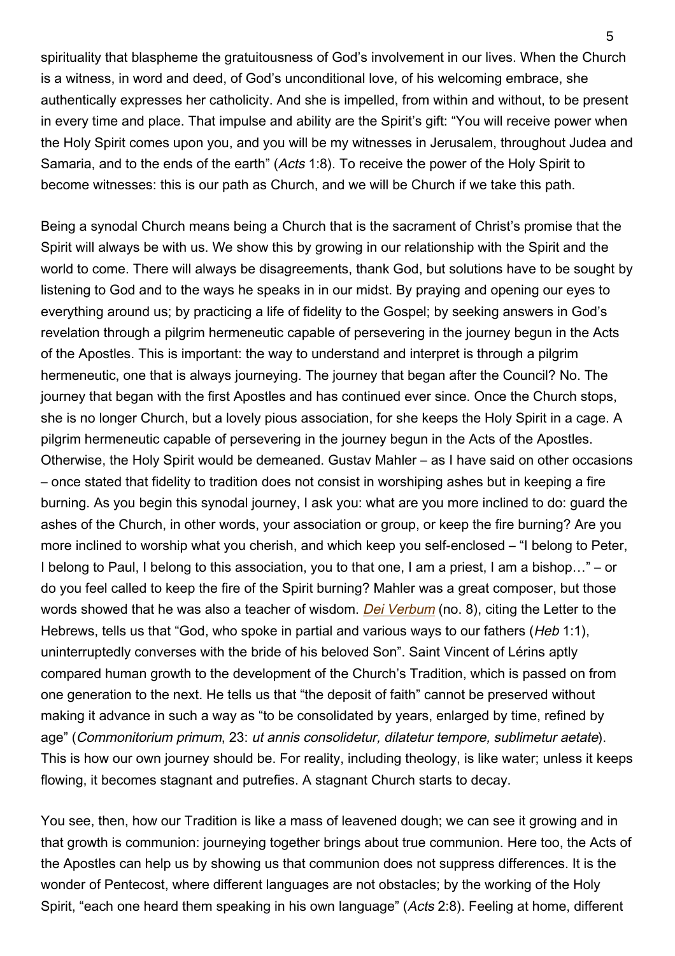spirituality that blaspheme the gratuitousness of God's involvement in our lives. When the Church is a witness, in word and deed, of God's unconditional love, of his welcoming embrace, she authentically expresses her catholicity. And she is impelled, from within and without, to be present in every time and place. That impulse and ability are the Spirit's gift: "You will receive power when the Holy Spirit comes upon you, and you will be my witnesses in Jerusalem, throughout Judea and Samaria, and to the ends of the earth" (Acts 1:8). To receive the power of the Holy Spirit to become witnesses: this is our path as Church, and we will be Church if we take this path.

Being a synodal Church means being a Church that is the sacrament of Christ's promise that the Spirit will always be with us. We show this by growing in our relationship with the Spirit and the world to come. There will always be disagreements, thank God, but solutions have to be sought by listening to God and to the ways he speaks in in our midst. By praying and opening our eyes to everything around us; by practicing a life of fidelity to the Gospel; by seeking answers in God's revelation through a pilgrim hermeneutic capable of persevering in the journey begun in the Acts of the Apostles. This is important: the way to understand and interpret is through a pilgrim hermeneutic, one that is always journeying. The journey that began after the Council? No. The journey that began with the first Apostles and has continued ever since. Once the Church stops, she is no longer Church, but a lovely pious association, for she keeps the Holy Spirit in a cage. A pilgrim hermeneutic capable of persevering in the journey begun in the Acts of the Apostles. Otherwise, the Holy Spirit would be demeaned. Gustav Mahler – as I have said on other occasions – once stated that fidelity to tradition does not consist in worshiping ashes but in keeping a fire burning. As you begin this synodal journey, I ask you: what are you more inclined to do: guard the ashes of the Church, in other words, your association or group, or keep the fire burning? Are you more inclined to worship what you cherish, and which keep you self-enclosed – "I belong to Peter, I belong to Paul, I belong to this association, you to that one, I am a priest, I am a bishop…" – or do you feel called to keep the fire of the Spirit burning? Mahler was a great composer, but those words showed that he was also a teacher of wisdom. *[Dei Verbum](https://www.vatican.va/archive/hist_councils/ii_vatican_council/documents/vat-ii_const_19651118_dei-verbum_en.html)* (no. 8), citing the Letter to the Hebrews, tells us that "God, who spoke in partial and various ways to our fathers (Heb 1:1), uninterruptedly converses with the bride of his beloved Son". Saint Vincent of Lérins aptly compared human growth to the development of the Church's Tradition, which is passed on from one generation to the next. He tells us that "the deposit of faith" cannot be preserved without making it advance in such a way as "to be consolidated by years, enlarged by time, refined by age" (Commonitorium primum, 23: ut annis consolidetur, dilatetur tempore, sublimetur aetate). This is how our own journey should be. For reality, including theology, is like water; unless it keeps flowing, it becomes stagnant and putrefies. A stagnant Church starts to decay.

You see, then, how our Tradition is like a mass of leavened dough; we can see it growing and in that growth is communion: journeying together brings about true communion. Here too, the Acts of the Apostles can help us by showing us that communion does not suppress differences. It is the wonder of Pentecost, where different languages are not obstacles; by the working of the Holy Spirit, "each one heard them speaking in his own language" (Acts 2:8). Feeling at home, different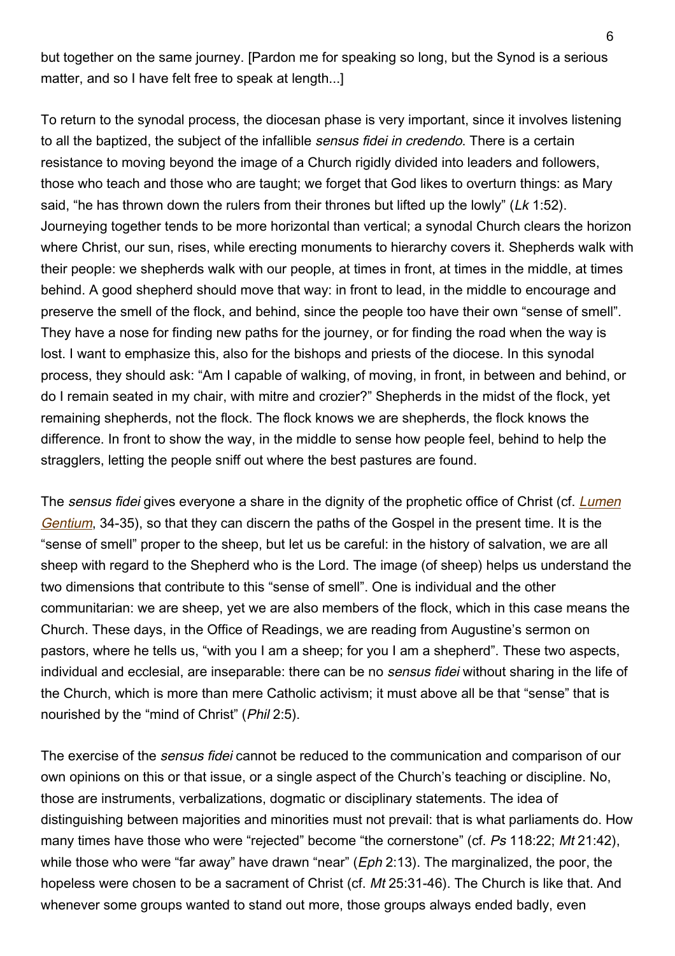but together on the same journey. [Pardon me for speaking so long, but the Synod is a serious matter, and so I have felt free to speak at length...]

To return to the synodal process, the diocesan phase is very important, since it involves listening to all the baptized, the subject of the infallible sensus fidei in credendo. There is a certain resistance to moving beyond the image of a Church rigidly divided into leaders and followers, those who teach and those who are taught; we forget that God likes to overturn things: as Mary said, "he has thrown down the rulers from their thrones but lifted up the lowly" (Lk 1:52). Journeying together tends to be more horizontal than vertical; a synodal Church clears the horizon where Christ, our sun, rises, while erecting monuments to hierarchy covers it. Shepherds walk with their people: we shepherds walk with our people, at times in front, at times in the middle, at times behind. A good shepherd should move that way: in front to lead, in the middle to encourage and preserve the smell of the flock, and behind, since the people too have their own "sense of smell". They have a nose for finding new paths for the journey, or for finding the road when the way is lost. I want to emphasize this, also for the bishops and priests of the diocese. In this synodal process, they should ask: "Am I capable of walking, of moving, in front, in between and behind, or do I remain seated in my chair, with mitre and crozier?" Shepherds in the midst of the flock, yet remaining shepherds, not the flock. The flock knows we are shepherds, the flock knows the difference. In front to show the way, in the middle to sense how people feel, behind to help the stragglers, letting the people sniff out where the best pastures are found.

The sensus fidei gives everyone a share in the dignity of the prophetic office of Christ (cf. *[Lumen](https://www.vatican.va/archive/hist_councils/ii_vatican_council/documents/vat-ii_const_19641121_lumen-gentium_it.html)* [Gentium](https://www.vatican.va/archive/hist_councils/ii_vatican_council/documents/vat-ii_const_19641121_lumen-gentium_it.html), 34-35), so that they can discern the paths of the Gospel in the present time. It is the "sense of smell" proper to the sheep, but let us be careful: in the history of salvation, we are all sheep with regard to the Shepherd who is the Lord. The image (of sheep) helps us understand the two dimensions that contribute to this "sense of smell". One is individual and the other communitarian: we are sheep, yet we are also members of the flock, which in this case means the Church. These days, in the Office of Readings, we are reading from Augustine's sermon on pastors, where he tells us, "with you I am a sheep; for you I am a shepherd". These two aspects, individual and ecclesial, are inseparable: there can be no sensus fidei without sharing in the life of the Church, which is more than mere Catholic activism; it must above all be that "sense" that is nourished by the "mind of Christ" (Phil 2:5).

The exercise of the *sensus fidei* cannot be reduced to the communication and comparison of our own opinions on this or that issue, or a single aspect of the Church's teaching or discipline. No, those are instruments, verbalizations, dogmatic or disciplinary statements. The idea of distinguishing between majorities and minorities must not prevail: that is what parliaments do. How many times have those who were "rejected" become "the cornerstone" (cf. Ps 118:22: Mt 21:42). while those who were "far away" have drawn "near" (*Eph* 2:13). The marginalized, the poor, the hopeless were chosen to be a sacrament of Christ (cf. Mt 25:31-46). The Church is like that. And whenever some groups wanted to stand out more, those groups always ended badly, even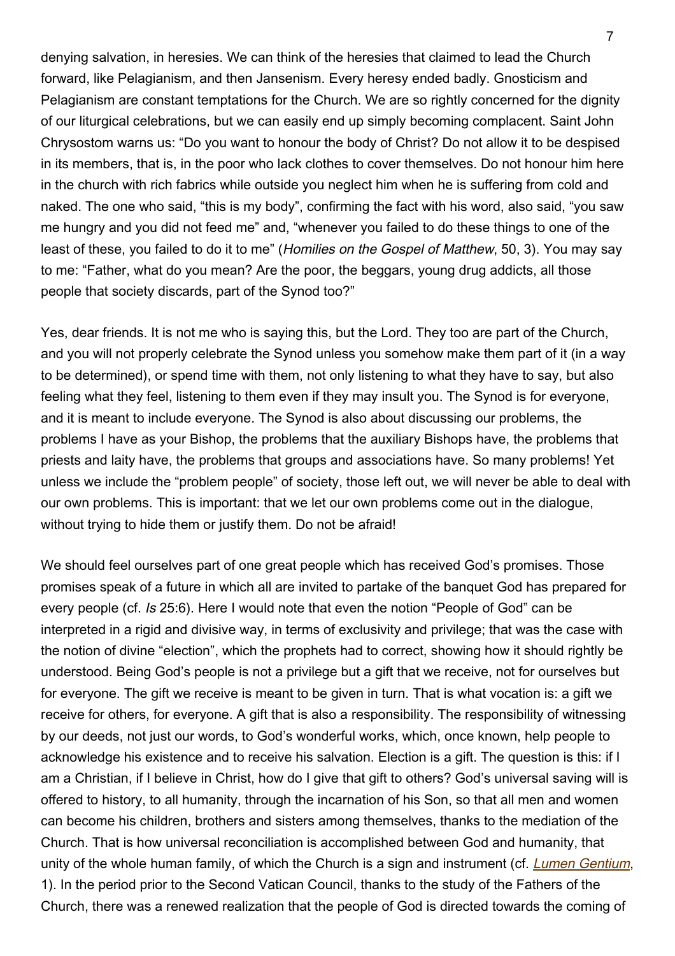denying salvation, in heresies. We can think of the heresies that claimed to lead the Church forward, like Pelagianism, and then Jansenism. Every heresy ended badly. Gnosticism and Pelagianism are constant temptations for the Church. We are so rightly concerned for the dignity of our liturgical celebrations, but we can easily end up simply becoming complacent. Saint John Chrysostom warns us: "Do you want to honour the body of Christ? Do not allow it to be despised in its members, that is, in the poor who lack clothes to cover themselves. Do not honour him here in the church with rich fabrics while outside you neglect him when he is suffering from cold and naked. The one who said, "this is my body", confirming the fact with his word, also said, "you saw me hungry and you did not feed me" and, "whenever you failed to do these things to one of the least of these, you failed to do it to me" (Homilies on the Gospel of Matthew, 50, 3). You may say to me: "Father, what do you mean? Are the poor, the beggars, young drug addicts, all those people that society discards, part of the Synod too?"

Yes, dear friends. It is not me who is saying this, but the Lord. They too are part of the Church, and you will not properly celebrate the Synod unless you somehow make them part of it (in a way to be determined), or spend time with them, not only listening to what they have to say, but also feeling what they feel, listening to them even if they may insult you. The Synod is for everyone, and it is meant to include everyone. The Synod is also about discussing our problems, the problems I have as your Bishop, the problems that the auxiliary Bishops have, the problems that priests and laity have, the problems that groups and associations have. So many problems! Yet unless we include the "problem people" of society, those left out, we will never be able to deal with our own problems. This is important: that we let our own problems come out in the dialogue, without trying to hide them or justify them. Do not be afraid!

We should feel ourselves part of one great people which has received God's promises. Those promises speak of a future in which all are invited to partake of the banquet God has prepared for every people (cf. Is 25:6). Here I would note that even the notion "People of God" can be interpreted in a rigid and divisive way, in terms of exclusivity and privilege; that was the case with the notion of divine "election", which the prophets had to correct, showing how it should rightly be understood. Being God's people is not a privilege but a gift that we receive, not for ourselves but for everyone. The gift we receive is meant to be given in turn. That is what vocation is: a gift we receive for others, for everyone. A gift that is also a responsibility. The responsibility of witnessing by our deeds, not just our words, to God's wonderful works, which, once known, help people to acknowledge his existence and to receive his salvation. Election is a gift. The question is this: if I am a Christian, if I believe in Christ, how do I give that gift to others? God's universal saving will is offered to history, to all humanity, through the incarnation of his Son, so that all men and women can become his children, brothers and sisters among themselves, thanks to the mediation of the Church. That is how universal reconciliation is accomplished between God and humanity, that unity of the whole human family, of which the Church is a sign and instrument (cf. *[Lumen Gentium](https://www.vatican.va/archive/hist_councils/ii_vatican_council/documents/vat-ii_const_19641121_lumen-gentium_en.html)*, 1). In the period prior to the Second Vatican Council, thanks to the study of the Fathers of the Church, there was a renewed realization that the people of God is directed towards the coming of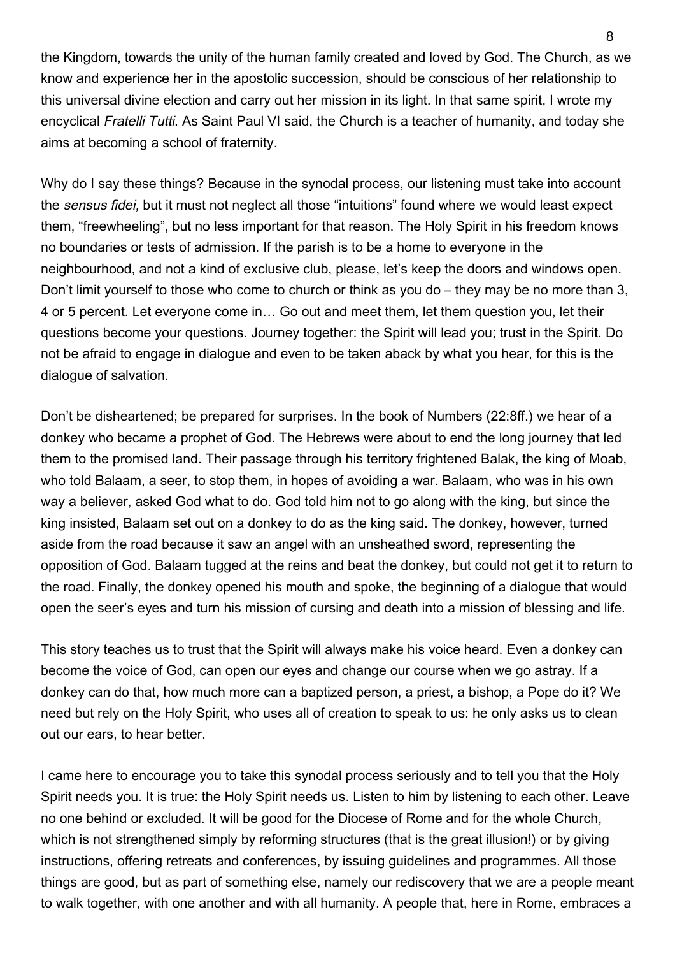the Kingdom, towards the unity of the human family created and loved by God. The Church, as we know and experience her in the apostolic succession, should be conscious of her relationship to this universal divine election and carry out her mission in its light. In that same spirit, I wrote my encyclical Fratelli Tutti. As Saint Paul VI said, the Church is a teacher of humanity, and today she aims at becoming a school of fraternity.

Why do I say these things? Because in the synodal process, our listening must take into account the sensus fidei, but it must not neglect all those "intuitions" found where we would least expect them, "freewheeling", but no less important for that reason. The Holy Spirit in his freedom knows no boundaries or tests of admission. If the parish is to be a home to everyone in the neighbourhood, and not a kind of exclusive club, please, let's keep the doors and windows open. Don't limit yourself to those who come to church or think as you do – they may be no more than 3, 4 or 5 percent. Let everyone come in… Go out and meet them, let them question you, let their questions become your questions. Journey together: the Spirit will lead you; trust in the Spirit. Do not be afraid to engage in dialogue and even to be taken aback by what you hear, for this is the dialogue of salvation.

Don't be disheartened; be prepared for surprises. In the book of Numbers (22:8ff.) we hear of a donkey who became a prophet of God. The Hebrews were about to end the long journey that led them to the promised land. Their passage through his territory frightened Balak, the king of Moab, who told Balaam, a seer, to stop them, in hopes of avoiding a war. Balaam, who was in his own way a believer, asked God what to do. God told him not to go along with the king, but since the king insisted, Balaam set out on a donkey to do as the king said. The donkey, however, turned aside from the road because it saw an angel with an unsheathed sword, representing the opposition of God. Balaam tugged at the reins and beat the donkey, but could not get it to return to the road. Finally, the donkey opened his mouth and spoke, the beginning of a dialogue that would open the seer's eyes and turn his mission of cursing and death into a mission of blessing and life.

This story teaches us to trust that the Spirit will always make his voice heard. Even a donkey can become the voice of God, can open our eyes and change our course when we go astray. If a donkey can do that, how much more can a baptized person, a priest, a bishop, a Pope do it? We need but rely on the Holy Spirit, who uses all of creation to speak to us: he only asks us to clean out our ears, to hear better.

I came here to encourage you to take this synodal process seriously and to tell you that the Holy Spirit needs you. It is true: the Holy Spirit needs us. Listen to him by listening to each other. Leave no one behind or excluded. It will be good for the Diocese of Rome and for the whole Church, which is not strengthened simply by reforming structures (that is the great illusion!) or by giving instructions, offering retreats and conferences, by issuing guidelines and programmes. All those things are good, but as part of something else, namely our rediscovery that we are a people meant to walk together, with one another and with all humanity. A people that, here in Rome, embraces a